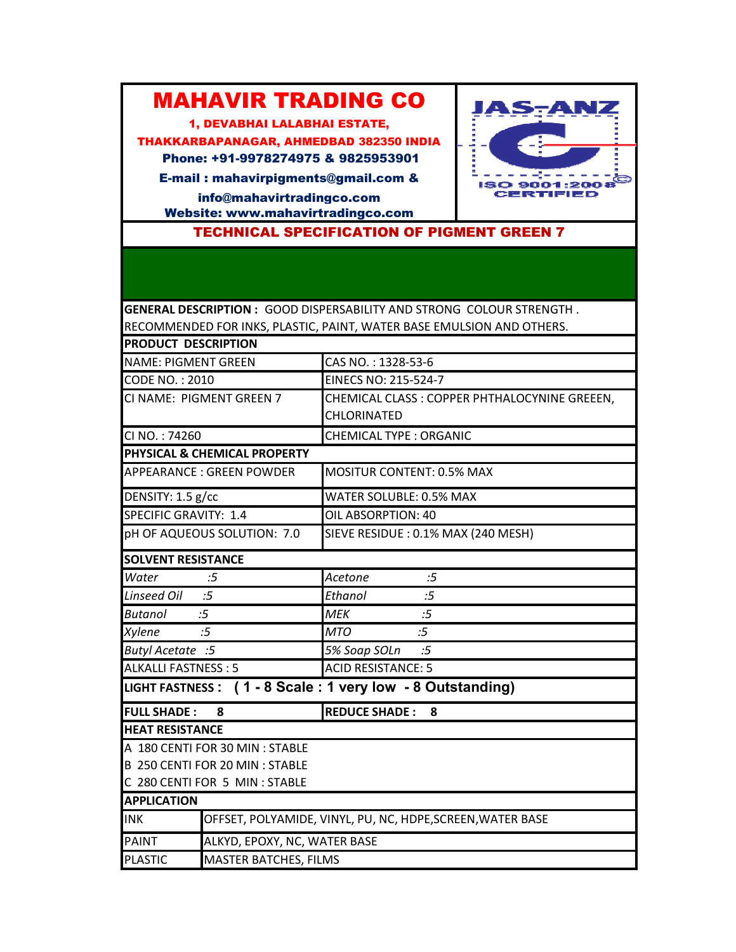## MAHAVIR TRADING CO

1, DEVABHAI LALABHAI ESTATE,

THAKKARBAPANAGAR, AHMEDBAD 382350 INDIA Phone: +91-9978274975 & 9825953901

E-mail : mahavirpigments@gmail.com & info@mahavirtradingco.com

Website: www.mahavirtradingco.com

TECHNICAL SPECIFICATION OF PIGMENT GREEN 7

**JAS-ANZ** 

 $1509001:2008$ **CERTIFIED** 

į

ٵ

 $\frac{1}{2} \left( \frac{1}{2} \right) \left( \frac{1}{2} \right) \left( \frac{1}{2} \right) \left( \frac{1}{2} \right) \left( \frac{1}{2} \right) \left( \frac{1}{2} \right) \left( \frac{1}{2} \right) \left( \frac{1}{2} \right) \left( \frac{1}{2} \right) \left( \frac{1}{2} \right) \left( \frac{1}{2} \right) \left( \frac{1}{2} \right) \left( \frac{1}{2} \right) \left( \frac{1}{2} \right) \left( \frac{1}{2} \right) \left( \frac{1}{2} \right) \left( \frac$ 

**GENERAL DESCRIPTION :** GOOD DISPERSABILITY AND STRONG COLOUR STRENGTH . RECOMMENDED FOR INKS, PLASTIC, PAINT, WATER BASE EMULSION AND OTHERS.

| <b>PRODUCT DESCRIPTION</b> |                                                           |                                                           |
|----------------------------|-----------------------------------------------------------|-----------------------------------------------------------|
| <b>NAME: PIGMENT GREEN</b> |                                                           | CAS NO.: 1328-53-6                                        |
| <b>CODE NO.: 2010</b>      |                                                           | <b>EINECS NO: 215-524-7</b>                               |
|                            | CI NAME: PIGMENT GREEN 7                                  | CHEMICAL CLASS : COPPER PHTHALOCYNINE GREEEN,             |
|                            |                                                           | CHLORINATED                                               |
| CI NO.: 74260              |                                                           | <b>CHEMICAL TYPE: ORGANIC</b>                             |
|                            | PHYSICAL & CHEMICAL PROPERTY                              |                                                           |
| APPEARANCE : GREEN POWDER  |                                                           | <b>MOSITUR CONTENT: 0.5% MAX</b>                          |
| DENSITY: 1.5 g/cc          |                                                           | WATER SOLUBLE: 0.5% MAX                                   |
| SPECIFIC GRAVITY: 1.4      |                                                           | OIL ABSORPTION: 40                                        |
|                            | pH OF AQUEOUS SOLUTION: 7.0                               | SIEVE RESIDUE : 0.1% MAX (240 MESH)                       |
| <b>SOLVENT RESISTANCE</b>  |                                                           |                                                           |
| Water                      | :5                                                        | Acetone<br>:5                                             |
| <b>Linseed Oil</b>         | :5                                                        | Ethanol<br>:5                                             |
| <b>Butanol</b>             | :5                                                        | <b>MEK</b><br>:5                                          |
| <b>Xylene</b>              | :5                                                        | <b>MTO</b><br>:5                                          |
| Butyl Acetate :5           |                                                           | 5% Soap SOLn<br>:5                                        |
| <b>ALKALLI FASTNESS: 5</b> |                                                           | <b>ACID RESISTANCE: 5</b>                                 |
|                            |                                                           | LIGHT FASTNESS: (1 - 8 Scale: 1 very low - 8 Outstanding) |
| <b>FULL SHADE:</b><br>8    |                                                           | <b>REDUCE SHADE:</b><br>8                                 |
| <b>HEAT RESISTANCE</b>     |                                                           |                                                           |
|                            | A 180 CENTI FOR 30 MIN : STABLE                           |                                                           |
|                            | B 250 CENTI FOR 20 MIN : STABLE                           |                                                           |
|                            | C 280 CENTI FOR 5 MIN : STABLE                            |                                                           |
| <b>APPLICATION</b>         |                                                           |                                                           |
| <b>INK</b>                 | OFFSET, POLYAMIDE, VINYL, PU, NC, HDPE,SCREEN, WATER BASE |                                                           |
| <b>PAINT</b>               | ALKYD, EPOXY, NC, WATER BASE                              |                                                           |
| <b>PLASTIC</b>             | <b>MASTER BATCHES, FILMS</b>                              |                                                           |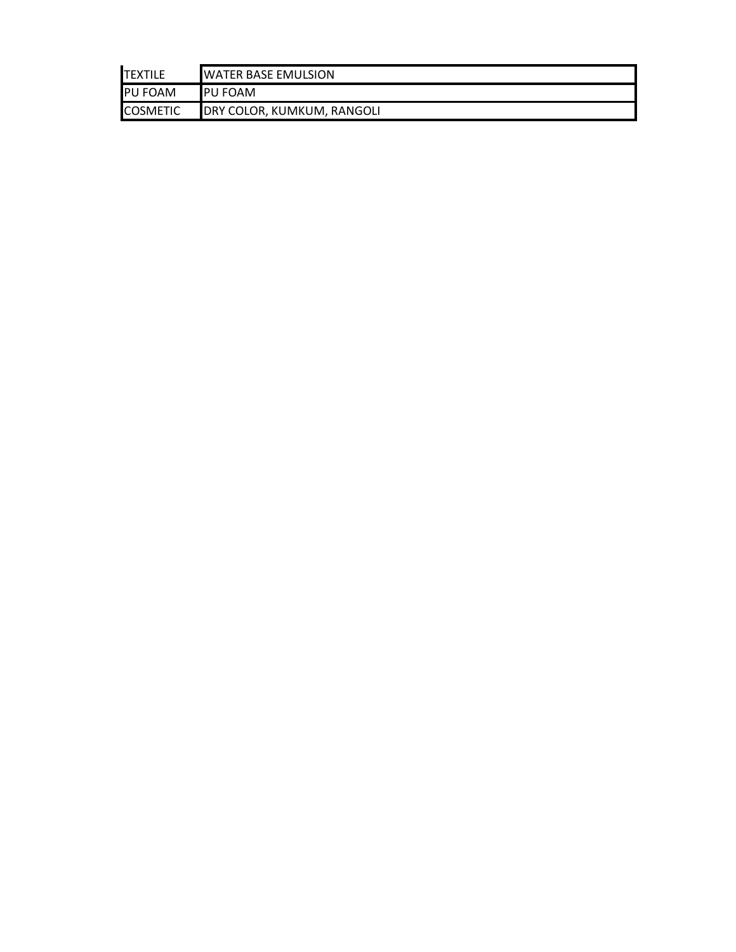| <b>ITEXTILE</b> | <b>IWATER BASE EMULSION</b> |  |
|-----------------|-----------------------------|--|
| <b>PU FOAM</b>  | <b>IPU FOAM</b>             |  |
| <b>COSMETIC</b> | DRY COLOR, KUMKUM, RANGOLI  |  |